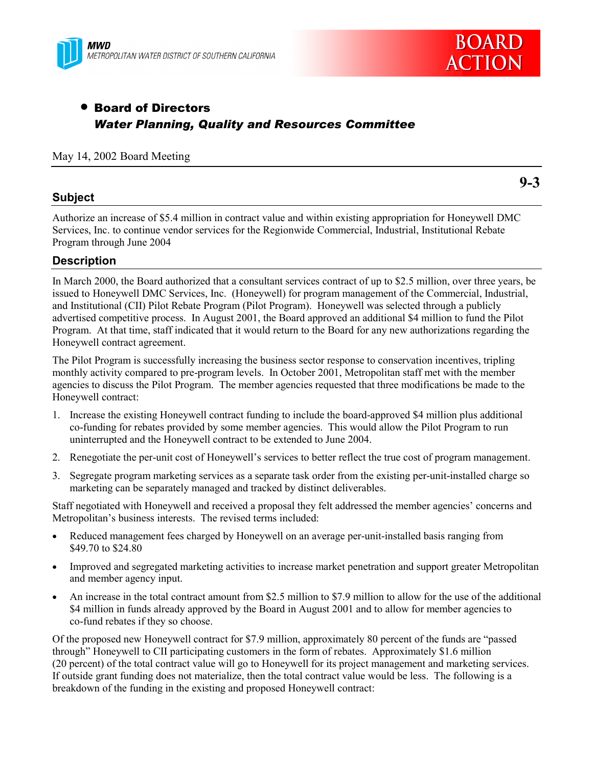



# • Board of Directors *Water Planning, Quality and Resources Committee*

#### May 14, 2002 Board Meeting

### **Subject**

**9-3**

Authorize an increase of \$5.4 million in contract value and within existing appropriation for Honeywell DMC Services, Inc. to continue vendor services for the Regionwide Commercial, Industrial, Institutional Rebate Program through June 2004

### **Description**

In March 2000, the Board authorized that a consultant services contract of up to \$2.5 million, over three years, be issued to Honeywell DMC Services, Inc. (Honeywell) for program management of the Commercial, Industrial, and Institutional (CII) Pilot Rebate Program (Pilot Program). Honeywell was selected through a publicly advertised competitive process. In August 2001, the Board approved an additional \$4 million to fund the Pilot Program. At that time, staff indicated that it would return to the Board for any new authorizations regarding the Honeywell contract agreement.

The Pilot Program is successfully increasing the business sector response to conservation incentives, tripling monthly activity compared to pre-program levels. In October 2001, Metropolitan staff met with the member agencies to discuss the Pilot Program. The member agencies requested that three modifications be made to the Honeywell contract:

- 1. Increase the existing Honeywell contract funding to include the board-approved \$4 million plus additional co-funding for rebates provided by some member agencies. This would allow the Pilot Program to run uninterrupted and the Honeywell contract to be extended to June 2004.
- 2. Renegotiate the per-unit cost of Honeywell's services to better reflect the true cost of program management.
- 3. Segregate program marketing services as a separate task order from the existing per-unit-installed charge so marketing can be separately managed and tracked by distinct deliverables.

Staff negotiated with Honeywell and received a proposal they felt addressed the member agencies' concerns and Metropolitan's business interests. The revised terms included:

- Reduced management fees charged by Honeywell on an average per-unit-installed basis ranging from \$49.70 to \$24.80
- Improved and segregated marketing activities to increase market penetration and support greater Metropolitan and member agency input.
- An increase in the total contract amount from \$2.5 million to \$7.9 million to allow for the use of the additional \$4 million in funds already approved by the Board in August 2001 and to allow for member agencies to co-fund rebates if they so choose.

Of the proposed new Honeywell contract for \$7.9 million, approximately 80 percent of the funds are "passed through" Honeywell to CII participating customers in the form of rebates. Approximately \$1.6 million (20 percent) of the total contract value will go to Honeywell for its project management and marketing services. If outside grant funding does not materialize, then the total contract value would be less. The following is a breakdown of the funding in the existing and proposed Honeywell contract: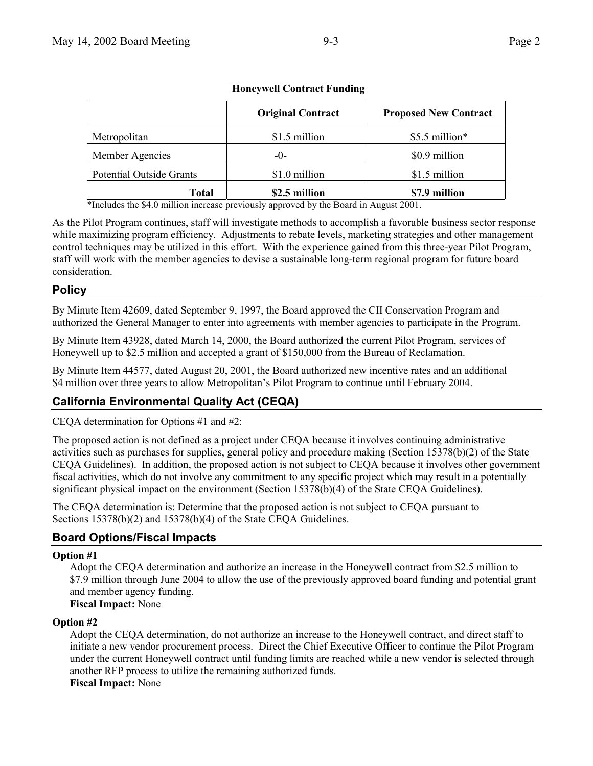|                                 | <b>Original Contract</b> | <b>Proposed New Contract</b> |
|---------------------------------|--------------------------|------------------------------|
| Metropolitan                    | \$1.5 million            | \$5.5 million*               |
| Member Agencies                 | $-()$                    | \$0.9 million                |
| <b>Potential Outside Grants</b> | \$1.0 million            | \$1.5 million                |
| <b>Total</b>                    | \$2.5 million            | \$7.9 million                |

### **Honeywell Contract Funding**

\*Includes the \$4.0 million increase previously approved by the Board in August 2001.

As the Pilot Program continues, staff will investigate methods to accomplish a favorable business sector response while maximizing program efficiency. Adjustments to rebate levels, marketing strategies and other management control techniques may be utilized in this effort. With the experience gained from this three-year Pilot Program, staff will work with the member agencies to devise a sustainable long-term regional program for future board consideration.

## **Policy**

By Minute Item 42609, dated September 9, 1997, the Board approved the CII Conservation Program and authorized the General Manager to enter into agreements with member agencies to participate in the Program.

By Minute Item 43928, dated March 14, 2000, the Board authorized the current Pilot Program, services of Honeywell up to \$2.5 million and accepted a grant of \$150,000 from the Bureau of Reclamation.

By Minute Item 44577, dated August 20, 2001, the Board authorized new incentive rates and an additional \$4 million over three years to allow Metropolitan's Pilot Program to continue until February 2004.

## **California Environmental Quality Act (CEQA)**

CEQA determination for Options #1 and #2:

The proposed action is not defined as a project under CEQA because it involves continuing administrative activities such as purchases for supplies, general policy and procedure making (Section 15378(b)(2) of the State CEQA Guidelines). In addition, the proposed action is not subject to CEQA because it involves other government fiscal activities, which do not involve any commitment to any specific project which may result in a potentially significant physical impact on the environment (Section 15378(b)(4) of the State CEQA Guidelines).

The CEQA determination is: Determine that the proposed action is not subject to CEQA pursuant to Sections 15378(b)(2) and 15378(b)(4) of the State CEQA Guidelines.

## **Board Options/Fiscal Impacts**

### **Option #1**

Adopt the CEQA determination and authorize an increase in the Honeywell contract from \$2.5 million to \$7.9 million through June 2004 to allow the use of the previously approved board funding and potential grant and member agency funding.

**Fiscal Impact:** None

### **Option #2**

Adopt the CEQA determination, do not authorize an increase to the Honeywell contract, and direct staff to initiate a new vendor procurement process. Direct the Chief Executive Officer to continue the Pilot Program under the current Honeywell contract until funding limits are reached while a new vendor is selected through another RFP process to utilize the remaining authorized funds. **Fiscal Impact:** None